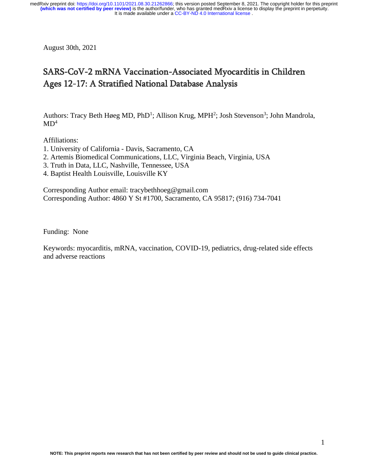August 30th, 2021

# SARS-CoV-2 mRNA Vaccination-Associated Myocarditis in Children Ages 12-17: A Stratified National Database Analysis

Authors: Tracy Beth Høeg MD, PhD<sup>1</sup>; Allison Krug, MPH<sup>2</sup>; Josh Stevenson<sup>3</sup>; John Mandrola,  $MD<sup>4</sup>$ 

Affiliations:

- 1. University of California Davis, Sacramento, CA
- 2. Artemis Biomedical Communications, LLC, Virginia Beach, Virginia, USA
- 3. Truth in Data, LLC, Nashville, Tennessee, USA
- 4. Baptist Health Louisville, Louisville KY

Corresponding Author email: tracybethhoeg@gmail.com Corresponding Author: 4860 Y St #1700, Sacramento, CA 95817; (916) 734-7041

Funding: None

Keywords: myocarditis, mRNA, vaccination, COVID-19, pediatrics, drug-related side effects and adverse reactions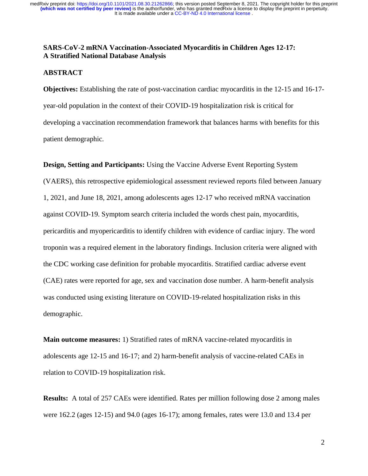### **SARS-CoV-2 mRNA Vaccination-Associated Myocarditis in Children Ages 12-17: A Stratified National Database Analysis**

#### **ABSTRACT**

**Objectives:** Establishing the rate of post-vaccination cardiac myocarditis in the 12-15 and 16-17 year-old population in the context of their COVID-19 hospitalization risk is critical for developing a vaccination recommendation framework that balances harms with benefits for this patient demographic.

**Design, Setting and Participants:** Using the Vaccine Adverse Event Reporting System (VAERS), this retrospective epidemiological assessment reviewed reports filed between January 1, 2021, and June 18, 2021, among adolescents ages 12-17 who received mRNA vaccination against COVID-19. Symptom search criteria included the words chest pain, myocarditis, pericarditis and myopericarditis to identify children with evidence of cardiac injury. The word troponin was a required element in the laboratory findings. Inclusion criteria were aligned with the CDC working case definition for probable myocarditis. Stratified cardiac adverse event (CAE) rates were reported for age, sex and vaccination dose number. A harm-benefit analysis was conducted using existing literature on COVID-19-related hospitalization risks in this demographic.

**Main outcome measures:** 1) Stratified rates of mRNA vaccine-related myocarditis in adolescents age 12-15 and 16-17; and 2) harm-benefit analysis of vaccine-related CAEs in relation to COVID-19 hospitalization risk.

**Results:** A total of 257 CAEs were identified. Rates per million following dose 2 among males were 162.2 (ages 12-15) and 94.0 (ages 16-17); among females, rates were 13.0 and 13.4 per

2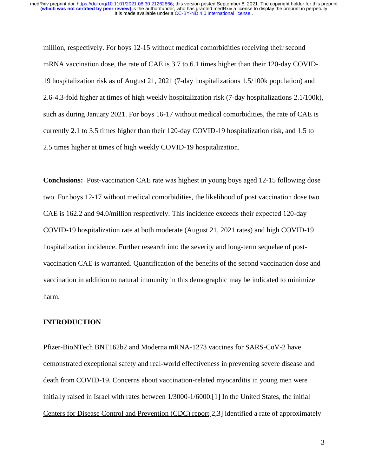million, respectively. For boys 12-15 without medical comorbidities receiving their second mRNA vaccination dose, the rate of CAE is 3.7 to 6.1 times higher than their 120-day COVID-19 hospitalization risk as of August 21, 2021 (7-day hospitalizations 1.5/100k population) and 2.6-4.3-fold higher at times of high weekly hospitalization risk (7-day hospitalizations 2.1/100k), such as during January 2021. For boys 16-17 without medical comorbidities, the rate of CAE is currently 2.1 to 3.5 times higher than their 120-day COVID-19 hospitalization risk, and 1.5 to 2.5 times higher at times of high weekly COVID-19 hospitalization.

**Conclusions:** Post-vaccination CAE rate was highest in young boys aged 12-15 following dose two. For boys 12-17 without medical comorbidities, the likelihood of post vaccination dose two CAE is 162.2 and 94.0/million respectively. This incidence exceeds their expected 120-day COVID-19 hospitalization rate at both moderate (August 21, 2021 rates) and high COVID-19 hospitalization incidence. Further research into the severity and long-term sequelae of postvaccination CAE is warranted. Quantification of the benefits of the second vaccination dose and vaccination in addition to natural immunity in this demographic may be indicated to minimize harm.

#### **INTRODUCTION**

Pfizer-BioNTech BNT162b2 and Moderna mRNA-1273 vaccines for SARS-CoV-2 have demonstrated exceptional safety and real-world effectiveness in preventing severe disease and death from COVID-19. Concerns about vaccination-related myocarditis in young men were initially raised in Israel with rates between [1/3000-1/6000.](https://www.reuters.com/world/middle-east/israel-sees-probable-link-between-pfizer-vaccine-small-number-myocarditis-cases-2021-06-01/)[1] In the United States, the initial [Centers for Disease Control and Prevention \(CDC\)](https://www.cdc.gov/vaccines/acip/meetings/downloads/slides-2021-06/05-COVID-Wallace-508.pdf) report[2,3] identified a rate of approximately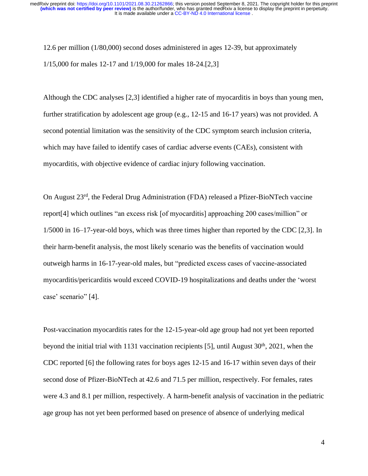12.6 per million (1/80,000) second doses administered in ages 12-39, but approximately 1/15,000 for males 12-17 and 1/19,000 for males 18-24.[2,3]

Although the CDC analyses [2,3] identified a higher rate of myocarditis in boys than young men, further stratification by adolescent age group (e.g., 12-15 and 16-17 years) was not provided. A second potential limitation was the sensitivity of the CDC symptom search inclusion criteria, which may have failed to identify cases of cardiac adverse events (CAEs), consistent with myocarditis, with objective evidence of cardiac injury following vaccination.

On August 23rd, the Federal Drug Administration (FDA) released a Pfizer-BioNTech vaccine report[4] which outlines "an excess risk [of myocarditis] approaching 200 cases/million" or 1/5000 in 16–17-year-old boys, which was three times higher than reported by the CDC [2,3]. In their harm-benefit analysis, the most likely scenario was the benefits of vaccination would outweigh harms in 16-17-year-old males, but "predicted excess cases of vaccine-associated myocarditis/pericarditis would exceed COVID-19 hospitalizations and deaths under the 'worst case' scenario" [4].

Post-vaccination myocarditis rates for the 12-15-year-old age group had not yet been reported beyond the initial trial with 1131 vaccination recipients [5], until August  $30<sup>th</sup>$ ,  $2021$ , when the CDC reported [6] the following rates for boys ages 12-15 and 16-17 within seven days of their second dose of Pfizer-BioNTech at 42.6 and 71.5 per million, respectively. For females, rates were 4.3 and 8.1 per million, respectively. A harm-benefit analysis of vaccination in the pediatric age group has not yet been performed based on presence of absence of underlying medical

4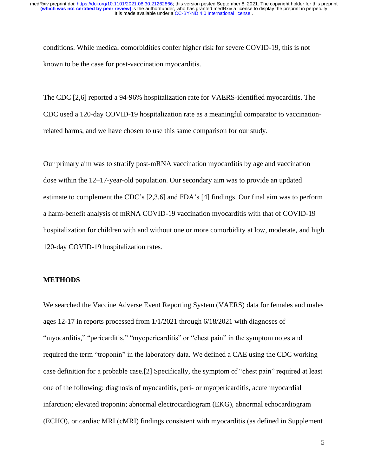conditions. While medical comorbidities confer higher risk for severe COVID-19, this is not known to be the case for post-vaccination myocarditis.

The CDC [2,6] reported a 94-96% hospitalization rate for VAERS-identified myocarditis. The CDC used a 120-day COVID-19 hospitalization rate as a meaningful comparator to vaccinationrelated harms, and we have chosen to use this same comparison for our study.

Our primary aim was to stratify post-mRNA vaccination myocarditis by age and vaccination dose within the 12–17-year-old population. Our secondary aim was to provide an updated estimate to complement the CDC's [2,3,6] and FDA's [4] findings. Our final aim was to perform a harm-benefit analysis of mRNA COVID-19 vaccination myocarditis with that of COVID-19 hospitalization for children with and without one or more comorbidity at low, moderate, and high 120-day COVID-19 hospitalization rates.

#### **METHODS**

We searched the Vaccine Adverse Event Reporting System (VAERS) data for females and males ages 12-17 in reports processed from 1/1/2021 through 6/18/2021 with diagnoses of "myocarditis," "pericarditis," "myopericarditis" or "chest pain" in the symptom notes and required the term "troponin" in the laboratory data. We defined a CAE using the CDC working case definition for a probable case.[2] Specifically, the symptom of "chest pain" required at least one of the following: diagnosis of myocarditis, peri- or myopericarditis, acute myocardial infarction; elevated troponin; abnormal electrocardiogram (EKG), abnormal echocardiogram (ECHO), or cardiac MRI (cMRI) findings consistent with myocarditis (as defined in Supplement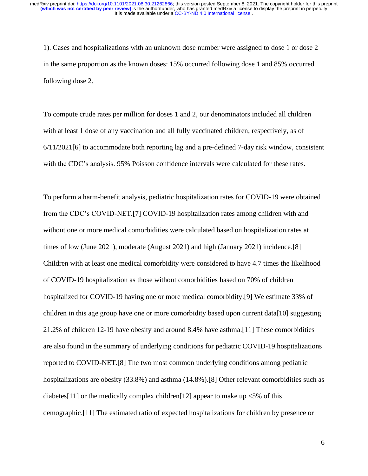1). Cases and hospitalizations with an unknown dose number were assigned to dose 1 or dose 2 in the same proportion as the known doses: 15% occurred following dose 1 and 85% occurred following dose 2.

To compute crude rates per million for doses 1 and 2, our denominators included all children with at least 1 dose of any vaccination and all fully vaccinated children, respectively, as of 6/11/2021[6] to accommodate both reporting lag and a pre-defined 7-day risk window, consistent with the CDC's analysis. 95% Poisson confidence intervals were calculated for these rates.

To perform a harm-benefit analysis, pediatric hospitalization rates for COVID-19 were obtained from the CDC's COVID-NET.[7] COVID-19 hospitalization rates among children with and without one or more medical comorbidities were calculated based on hospitalization rates at times of low (June 2021), moderate (August 2021) and high (January 2021) incidence.[8] Children with at least one medical comorbidity were considered to have 4.7 times the likelihood of COVID-19 hospitalization as those without comorbidities based on 70% of children hospitalized for COVID-19 having one or more medical comorbidity.[9] We estimate 33% of children in this age group have one or more comorbidity based upon current data[10] suggesting 21.2% of children 12-19 have obesity and around 8.4% have asthma.[11] These comorbidities are also found in the summary of underlying conditions for pediatric COVID-19 hospitalizations reported to COVID-NET.[8] The two most common underlying conditions among pediatric hospitalizations are obesity (33.8%) and asthma (14.8%).<sup>[8]</sup> Other relevant comorbidities such as diabetes[11] or the medically complex children[12] appear to make up  $\leq 5\%$  of this demographic.[11] The estimated ratio of expected hospitalizations for children by presence or

6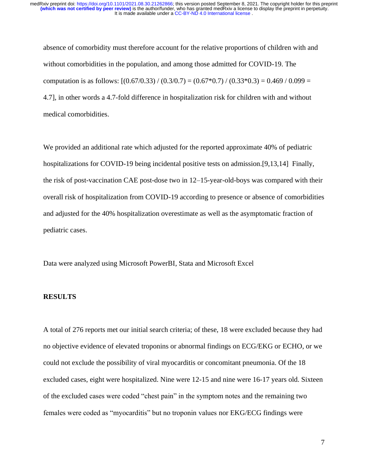absence of comorbidity must therefore account for the relative proportions of children with and without comorbidities in the population, and among those admitted for COVID-19. The computation is as follows:  $[(0.67/0.33)/(0.3/0.7) = (0.67*0.7)/(0.33*0.3) = 0.469/0.099 =$ 4.7], in other words a 4.7-fold difference in hospitalization risk for children with and without medical comorbidities.

We provided an additional rate which adjusted for the reported approximate 40% of pediatric hospitalizations for COVID-19 being incidental positive tests on admission.[9,13,14] Finally, the risk of post-vaccination CAE post-dose two in 12–15-year-old-boys was compared with their overall risk of hospitalization from COVID-19 according to presence or absence of comorbidities and adjusted for the 40% hospitalization overestimate as well as the asymptomatic fraction of pediatric cases.

Data were analyzed using Microsoft PowerBI, Stata and Microsoft Excel

#### **RESULTS**

A total of 276 reports met our initial search criteria; of these, 18 were excluded because they had no objective evidence of elevated troponins or abnormal findings on ECG/EKG or ECHO, or we could not exclude the possibility of viral myocarditis or concomitant pneumonia. Of the 18 excluded cases, eight were hospitalized. Nine were 12-15 and nine were 16-17 years old. Sixteen of the excluded cases were coded "chest pain" in the symptom notes and the remaining two females were coded as "myocarditis" but no troponin values nor EKG/ECG findings were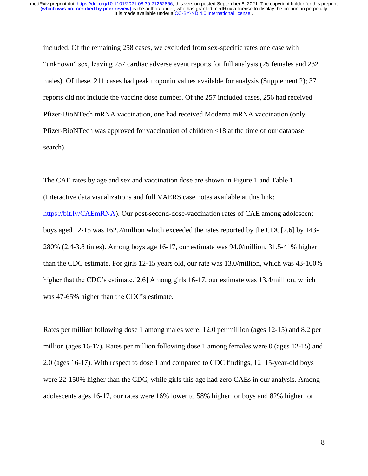included. Of the remaining 258 cases, we excluded from sex-specific rates one case with "unknown" sex, leaving 257 cardiac adverse event reports for full analysis (25 females and 232 males). Of these, 211 cases had peak troponin values available for analysis (Supplement 2); 37 reports did not include the vaccine dose number. Of the 257 included cases, 256 had received Pfizer-BioNTech mRNA vaccination, one had received Moderna mRNA vaccination (only Pfizer-BioNTech was approved for vaccination of children <18 at the time of our database search).

The CAE rates by age and sex and vaccination dose are shown in Figure 1 and Table 1. (Interactive data visualizations and full VAERS case notes available at this link: [https://bit.ly/CAEmRNA\)](https://bit.ly/CAEmRNA). Our post-second-dose-vaccination rates of CAE among adolescent boys aged 12-15 was 162.2/million which exceeded the rates reported by the CDC[2,6] by 143- 280% (2.4-3.8 times). Among boys age 16-17, our estimate was 94.0/million, 31.5-41% higher than the CDC estimate. For girls 12-15 years old, our rate was 13.0/million, which was 43-100% higher that the CDC's estimate.[2,6] Among girls 16-17, our estimate was 13.4/million, which was 47-65% higher than the CDC's estimate.

Rates per million following dose 1 among males were: 12.0 per million (ages 12-15) and 8.2 per million (ages 16-17). Rates per million following dose 1 among females were 0 (ages 12-15) and 2.0 (ages 16-17). With respect to dose 1 and compared to CDC findings, 12–15-year-old boys were 22-150% higher than the CDC, while girls this age had zero CAEs in our analysis. Among adolescents ages 16-17, our rates were 16% lower to 58% higher for boys and 82% higher for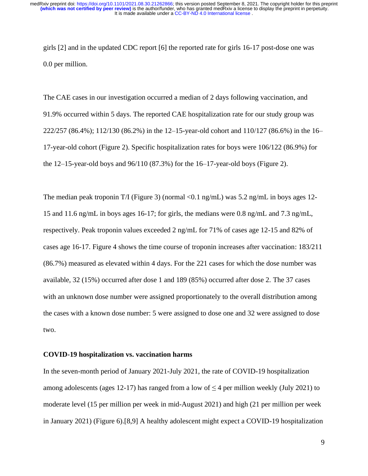It is made available under a CC-BY-ND 4.0 International license. **(which was not certified by peer review)** is the author/funder, who has granted medRxiv a license to display the preprint in perpetuity. medRxiv preprint doi: [https://doi.org/10.1101/2021.08.30.21262866;](https://doi.org/10.1101/2021.08.30.21262866) this version posted September 8, 2021. The copyright holder for this preprint

girls [2] and in the updated CDC report [6] the reported rate for girls 16-17 post-dose one was 0.0 per million.

The CAE cases in our investigation occurred a median of 2 days following vaccination, and 91.9% occurred within 5 days. The reported CAE hospitalization rate for our study group was 222/257 (86.4%); 112/130 (86.2%) in the 12–15-year-old cohort and 110/127 (86.6%) in the 16– 17-year-old cohort (Figure 2). Specific hospitalization rates for boys were 106/122 (86.9%) for the 12–15-year-old boys and 96/110 (87.3%) for the 16–17-year-old boys (Figure 2).

The median peak troponin T/I (Figure 3) (normal  $\langle 0.1 \text{ ng/mL} \rangle$  was 5.2 ng/mL in boys ages 12-15 and 11.6 ng/mL in boys ages 16-17; for girls, the medians were 0.8 ng/mL and 7.3 ng/mL, respectively. Peak troponin values exceeded 2 ng/mL for 71% of cases age 12-15 and 82% of cases age 16-17. Figure 4 shows the time course of troponin increases after vaccination: 183/211 (86.7%) measured as elevated within 4 days. For the 221 cases for which the dose number was available, 32 (15%) occurred after dose 1 and 189 (85%) occurred after dose 2. The 37 cases with an unknown dose number were assigned proportionately to the overall distribution among the cases with a known dose number: 5 were assigned to dose one and 32 were assigned to dose two.

#### **COVID-19 hospitalization vs. vaccination harms**

In the seven-month period of January 2021-July 2021, the rate of COVID-19 hospitalization among adolescents (ages 12-17) has ranged from a low of  $\leq$  4 per million weekly (July 2021) to moderate level (15 per million per week in mid-August 2021) and high (21 per million per week in January 2021) (Figure 6).[8,9] A healthy adolescent might expect a COVID-19 hospitalization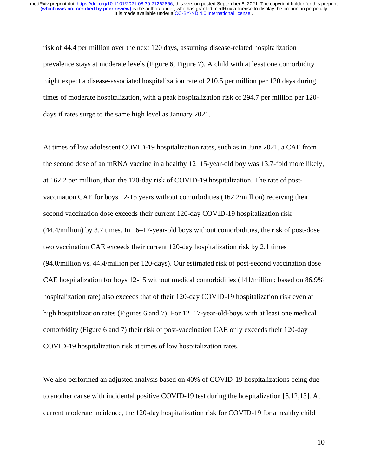risk of 44.4 per million over the next 120 days, assuming disease-related hospitalization prevalence stays at moderate levels (Figure 6, Figure 7). A child with at least one comorbidity might expect a disease-associated hospitalization rate of 210.5 per million per 120 days during times of moderate hospitalization, with a peak hospitalization risk of 294.7 per million per 120 days if rates surge to the same high level as January 2021.

At times of low adolescent COVID-19 hospitalization rates, such as in June 2021, a CAE from the second dose of an mRNA vaccine in a healthy 12–15-year-old boy was 13.7-fold more likely, at 162.2 per million, than the 120-day risk of COVID-19 hospitalization. The rate of postvaccination CAE for boys 12-15 years without comorbidities (162.2/million) receiving their second vaccination dose exceeds their current 120-day COVID-19 hospitalization risk (44.4/million) by 3.7 times. In 16–17-year-old boys without comorbidities, the risk of post-dose two vaccination CAE exceeds their current 120-day hospitalization risk by 2.1 times (94.0/million vs. 44.4/million per 120-days). Our estimated risk of post-second vaccination dose CAE hospitalization for boys 12-15 without medical comorbidities (141/million; based on 86.9% hospitalization rate) also exceeds that of their 120-day COVID-19 hospitalization risk even at high hospitalization rates (Figures 6 and 7). For 12–17-year-old-boys with at least one medical comorbidity (Figure 6 and 7) their risk of post-vaccination CAE only exceeds their 120-day COVID-19 hospitalization risk at times of low hospitalization rates.

We also performed an adjusted analysis based on 40% of COVID-19 hospitalizations being due to another cause with incidental positive COVID-19 test during the hospitalization [8,12,13]. At current moderate incidence, the 120-day hospitalization risk for COVID-19 for a healthy child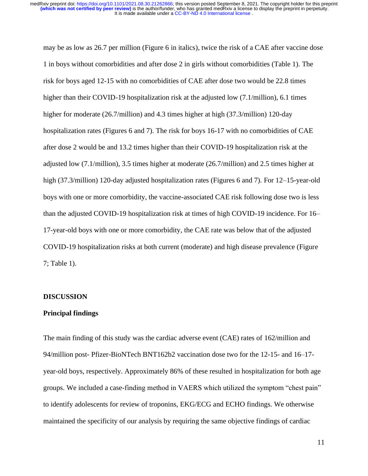may be as low as 26.7 per million (Figure 6 in italics), twice the risk of a CAE after vaccine dose 1 in boys without comorbidities and after dose 2 in girls without comorbidities (Table 1). The risk for boys aged 12-15 with no comorbidities of CAE after dose two would be 22.8 times higher than their COVID-19 hospitalization risk at the adjusted low (7.1/million), 6.1 times higher for moderate (26.7/million) and 4.3 times higher at high (37.3/million) 120-day hospitalization rates (Figures 6 and 7). The risk for boys 16-17 with no comorbidities of CAE after dose 2 would be and 13.2 times higher than their COVID-19 hospitalization risk at the adjusted low (7.1/million), 3.5 times higher at moderate (26.7/million) and 2.5 times higher at high (37.3/million) 120-day adjusted hospitalization rates (Figures 6 and 7). For 12–15-year-old boys with one or more comorbidity, the vaccine-associated CAE risk following dose two is less than the adjusted COVID-19 hospitalization risk at times of high COVID-19 incidence. For 16– 17-year-old boys with one or more comorbidity, the CAE rate was below that of the adjusted COVID-19 hospitalization risks at both current (moderate) and high disease prevalence (Figure 7; Table 1).

#### **DISCUSSION**

#### **Principal findings**

The main finding of this study was the cardiac adverse event (CAE) rates of 162/million and 94/million post- Pfizer-BioNTech BNT162b2 vaccination dose two for the 12-15- and 16–17 year-old boys, respectively. Approximately 86% of these resulted in hospitalization for both age groups. We included a case-finding method in VAERS which utilized the symptom "chest pain" to identify adolescents for review of troponins, EKG/ECG and ECHO findings. We otherwise maintained the specificity of our analysis by requiring the same objective findings of cardiac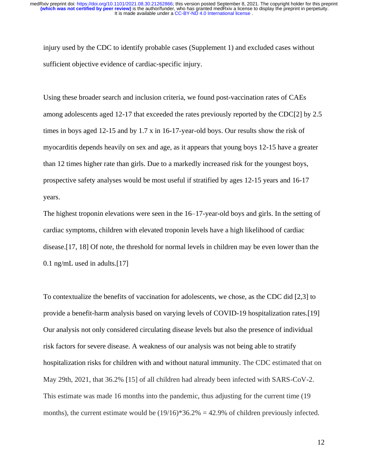injury used by the CDC to identify probable cases (Supplement 1) and excluded cases without sufficient objective evidence of cardiac-specific injury.

Using these broader search and inclusion criteria, we found post-vaccination rates of CAEs among adolescents aged 12-17 that exceeded the rates previously reported by the CDC[2] by 2.5 times in boys aged 12-15 and by 1.7 x in 16-17-year-old boys. Our results show the risk of myocarditis depends heavily on sex and age, as it appears that young boys 12-15 have a greater than 12 times higher rate than girls. Due to a markedly increased risk for the youngest boys, prospective safety analyses would be most useful if stratified by ages 12-15 years and 16-17 years.

The highest troponin elevations were seen in the 16–17-year-old boys and girls. In the setting of cardiac symptoms, children with elevated troponin levels have a high likelihood of cardiac disease.[17, 18] Of note, the threshold for normal levels in children may be even lower than the 0.1 ng/mL used in adults.[17]

To contextualize the benefits of vaccination for adolescents, we chose, as the CDC did [2,3] to provide a benefit-harm analysis based on varying levels of COVID-19 hospitalization rates.[19] Our analysis not only considered circulating disease levels but also the presence of individual risk factors for severe disease. A weakness of our analysis was not being able to stratify hospitalization risks for children with and without natural immunity. The CDC estimated that on May 29th, 2021, that 36.2% [15] of all children had already been infected with SARS-CoV-2. This estimate was made 16 months into the pandemic, thus adjusting for the current time (19 months), the current estimate would be  $(19/16)$ \*36.2% = 42.9% of children previously infected.

12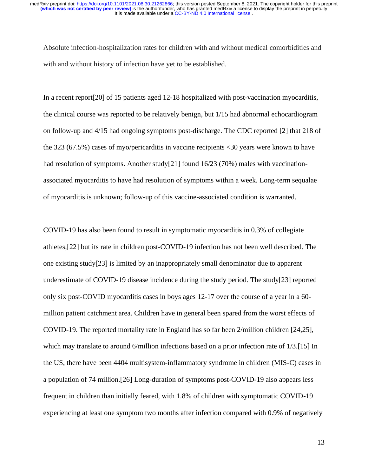Absolute infection-hospitalization rates for children with and without medical comorbidities and with and without history of infection have yet to be established.

In a recent report[20] of 15 patients aged 12-18 hospitalized with post-vaccination myocarditis, the clinical course was reported to be relatively benign, but 1/15 had abnormal echocardiogram on follow-up and 4/15 had ongoing symptoms post-discharge. The CDC reported [2] that 218 of the 323 (67.5%) cases of myo/pericarditis in vaccine recipients <30 years were known to have had resolution of symptoms. Another study<sup>[21]</sup> found 16/23 (70%) males with vaccinationassociated myocarditis to have had resolution of symptoms within a week. Long-term sequalae of myocarditis is unknown; follow-up of this vaccine-associated condition is warranted.

COVID-19 has also been found to result in symptomatic myocarditis in 0.3% of collegiate athletes,[22] but its rate in children post-COVID-19 infection has not been well described. The one existing study[23] is limited by an inappropriately small denominator due to apparent underestimate of COVID-19 disease incidence during the study period. The study[23] reported only six post-COVID myocarditis cases in boys ages 12-17 over the course of a year in a 60 million patient catchment area. Children have in general been spared from the worst effects of COVID-19. The reported mortality rate in England has so far been 2/million children [24,25], which may translate to around 6/million infections based on a prior infection rate of 1/3.[15] In the US, there have been 4404 multisystem-inflammatory syndrome in children (MIS-C) cases in a population of 74 million.[26] Long-duration of symptoms post-COVID-19 also appears less frequent in children than initially feared, with 1.8% of children with symptomatic COVID-19 experiencing at least one symptom two months after infection compared with 0.9% of negatively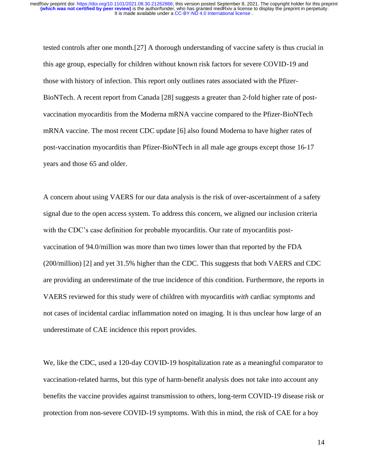tested controls after one month.[27] A thorough understanding of vaccine safety is thus crucial in this age group, especially for children without known risk factors for severe COVID-19 and those with history of infection. This report only outlines rates associated with the Pfizer-BioNTech. A recent report from Canada [28] suggests a greater than 2-fold higher rate of postvaccination myocarditis from the Moderna mRNA vaccine compared to the Pfizer-BioNTech mRNA vaccine. The most recent CDC update [6] also found Moderna to have higher rates of post-vaccination myocarditis than Pfizer-BioNTech in all male age groups except those 16-17 years and those 65 and older.

A concern about using VAERS for our data analysis is the risk of over-ascertainment of a safety signal due to the open access system. To address this concern, we aligned our inclusion criteria with the CDC's case definition for probable myocarditis. Our rate of myocarditis postvaccination of 94.0/million was more than two times lower than that reported by the FDA (200/million) [2] and yet 31.5% higher than the CDC. This suggests that both VAERS and CDC are providing an underestimate of the true incidence of this condition. Furthermore, the reports in VAERS reviewed for this study were of children with myocarditis *with* cardiac symptoms and not cases of incidental cardiac inflammation noted on imaging. It is thus unclear how large of an underestimate of CAE incidence this report provides.

We, like the CDC, used a 120-day COVID-19 hospitalization rate as a meaningful comparator to vaccination-related harms, but this type of harm-benefit analysis does not take into account any benefits the vaccine provides against transmission to others, long-term COVID-19 disease risk or protection from non-severe COVID-19 symptoms. With this in mind, the risk of CAE for a boy

14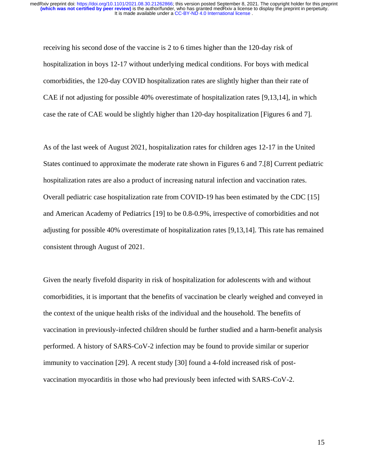receiving his second dose of the vaccine is 2 to 6 times higher than the 120-day risk of hospitalization in boys 12-17 without underlying medical conditions. For boys with medical comorbidities, the 120-day COVID hospitalization rates are slightly higher than their rate of CAE if not adjusting for possible 40% overestimate of hospitalization rates [9,13,14], in which case the rate of CAE would be slightly higher than 120-day hospitalization [Figures 6 and 7].

As of the last week of August 2021, hospitalization rates for children ages 12-17 in the United States continued to approximate the moderate rate shown in Figures 6 and 7.[8] Current pediatric hospitalization rates are also a product of increasing natural infection and vaccination rates. Overall pediatric case hospitalization rate from COVID-19 has been estimated by the CDC [15] and American Academy of Pediatrics [19] to be 0.8-0.9%, irrespective of comorbidities and not adjusting for possible 40% overestimate of hospitalization rates [9,13,14]. This rate has remained consistent through August of 2021.

Given the nearly fivefold disparity in risk of hospitalization for adolescents with and without comorbidities, it is important that the benefits of vaccination be clearly weighed and conveyed in the context of the unique health risks of the individual and the household. The benefits of vaccination in previously-infected children should be further studied and a harm-benefit analysis performed. A history of SARS-CoV-2 infection may be found to provide similar or superior immunity to vaccination [29]. A recent study [30] found a 4-fold increased risk of postvaccination myocarditis in those who had previously been infected with SARS-CoV-2.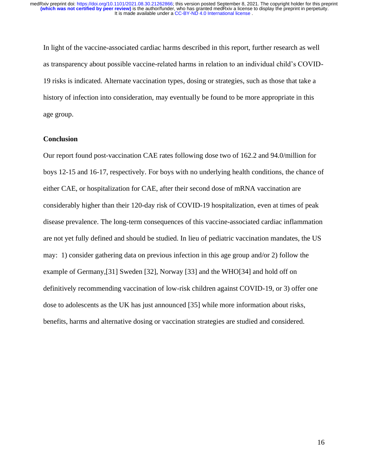In light of the vaccine-associated cardiac harms described in this report, further research as well as transparency about possible vaccine-related harms in relation to an individual child's COVID-19 risks is indicated. Alternate vaccination types, dosing or strategies, such as those that take a history of infection into consideration, may eventually be found to be more appropriate in this age group.

## **Conclusion**

Our report found post-vaccination CAE rates following dose two of 162.2 and 94.0/million for boys 12-15 and 16-17, respectively. For boys with no underlying health conditions, the chance of either CAE, or hospitalization for CAE, after their second dose of mRNA vaccination are considerably higher than their 120-day risk of COVID-19 hospitalization, even at times of peak disease prevalence. The long-term consequences of this vaccine-associated cardiac inflammation are not yet fully defined and should be studied. In lieu of pediatric vaccination mandates, the US may: 1) consider gathering data on previous infection in this age group and/or 2) follow the example of Germany,[31] Sweden [32], Norway [33] and the WHO[34] and hold off on definitively recommending vaccination of low-risk children against COVID-19, or 3) offer one dose to adolescents as the UK has just announced [35] while more information about risks, benefits, harms and alternative dosing or vaccination strategies are studied and considered.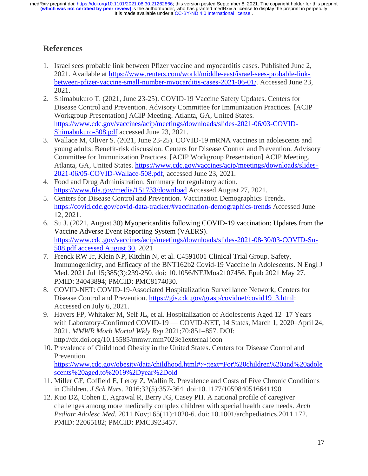# **References**

- 1. Israel sees probable link between Pfizer vaccine and myocarditis cases. Published June 2, 2021. Available at [https://www.reuters.com/world/middle-east/israel-sees-probable-link](https://www.reuters.com/world/middle-east/israel-sees-probable-link-between-pfizer-vaccine-small-number-myocarditis-cases-2021-06-01/)[between-pfizer-vaccine-small-number-myocarditis-cases-2021-06-01/.](https://www.reuters.com/world/middle-east/israel-sees-probable-link-between-pfizer-vaccine-small-number-myocarditis-cases-2021-06-01/) Accessed June 23, 2021.
- 2. Shimabukuro T. (2021, June 23-25). COVID-19 Vaccine Safety Updates. Centers for Disease Control and Prevention. Advisory Committee for Immunization Practices. [ACIP Workgroup Presentation] ACIP Meeting. Atlanta, GA, United States. [https://www.cdc.gov/vaccines/acip/meetings/downloads/slides-2021-06/03-COVID-](https://www.cdc.gov/vaccines/acip/meetings/downloads/slides-2021-06/03-COVID-Shimabukuro-508.pdf)[Shimabukuro-508.pdf](https://www.cdc.gov/vaccines/acip/meetings/downloads/slides-2021-06/03-COVID-Shimabukuro-508.pdf) accessed June 23, 2021.
- 3. Wallace M, Oliver S. (2021, June 23-25). COVID-19 mRNA vaccines in adolescents and young adults: Benefit-risk discussion. Centers for Disease Control and Prevention. Advisory Committee for Immunization Practices. [ACIP Workgroup Presentation] ACIP Meeting. Atlanta, GA, United States. [https://www.cdc.gov/vaccines/acip/meetings/downloads/slides-](https://www.cdc.gov/vaccines/acip/meetings/downloads/slides-2021-06/05-COVID-Wallace-508.pdf)[2021-06/05-COVID-Wallace-508.pdf,](https://www.cdc.gov/vaccines/acip/meetings/downloads/slides-2021-06/05-COVID-Wallace-508.pdf) accessed June 23, 2021.
- 4. Food and Drug Administration. Summary for regulatory action. <https://www.fda.gov/media/151733/download> Accessed August 27, 2021.
- 5. Centers for Disease Control and Prevention. Vaccination Demographics Trends. <https://covid.cdc.gov/covid-data-tracker/#vaccination-demographics-trends> Accessed June 12, 2021.
- 6. Su J. (2021, August 30) Myopericarditis following COVID-19 vaccination: Updates from the Vaccine Adverse Event Reporting System (VAERS). [https://www.cdc.gov/vaccines/acip/meetings/downloads/slides-2021-08-30/03-COVID-Su-](https://www.cdc.gov/vaccines/acip/meetings/downloads/slides-2021-08-30/03-COVID-Su-508.pdf%20accessed%20August%2030)508.pdf [accessed August 30,](https://www.cdc.gov/vaccines/acip/meetings/downloads/slides-2021-08-30/03-COVID-Su-508.pdf%20accessed%20August%2030) 2021
- 7. Frenck RW Jr, Klein NP, Kitchin N, et al. C4591001 Clinical Trial Group. Safety, Immunogenicity, and Efficacy of the BNT162b2 Covid-19 Vaccine in Adolescents. N Engl J Med. 2021 Jul 15;385(3):239-250. doi: 10.1056/NEJMoa2107456. Epub 2021 May 27. PMID: 34043894; PMCID: PMC8174030.
- 8. COVID-NET: COVID-19-Associated Hospitalization Surveillance Network, Centers for Disease Control and Prevention. [https://gis.cdc.gov/grasp/covidnet/covid19\\_3.html:](https://gis.cdc.gov/grasp/covidnet/covid19_3.html) Accessed on July 6, 2021.
- 9. Havers FP, Whitaker M, Self JL, et al. Hospitalization of Adolescents Aged 12–17 Years with Laboratory-Confirmed COVID-19 — COVID-NET, 14 States, March 1, 2020–April 24, 2021. *MMWR Morb Mortal Wkly Rep* 2021;70:851–857. DOI: http://dx.doi.org/10.15585/mmwr.mm7023e1external icon
- 10. Prevalence of Childhood Obesity in the United States. Centers for Disease Control and Prevention.

[https://www.cdc.gov/obesity/data/childhood.html#:~:text=For%20children%20and%20adole](https://www.cdc.gov/obesity/data/childhood.html#:~:text=For%20children%20and%20adolescents%20aged,to%2019%2Dyear%2Dold) [scents%20aged,to%2019%2Dyear%2Dold](https://www.cdc.gov/obesity/data/childhood.html#:~:text=For%20children%20and%20adolescents%20aged,to%2019%2Dyear%2Dold)

- 11. Miller GF, Coffield E, Leroy Z, Wallin R. Prevalence and Costs of Five Chronic Conditions in Children. *J Sch Nurs*. 2016;32(5):357-364. doi:10.1177/1059840516641190
- 12. Kuo DZ, Cohen E, Agrawal R, Berry JG, Casey PH. A national profile of caregiver challenges among more medically complex children with special health care needs. *Arch Pediatr Adolesc Med*. 2011 Nov;165(11):1020-6. doi: 10.1001/archpediatrics.2011.172. PMID: 22065182; PMCID: PMC3923457.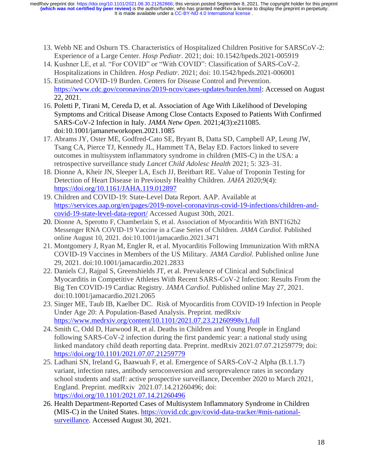It is made available under a CC-BY-ND 4.0 International license. **(which was not certified by peer review)** is the author/funder, who has granted medRxiv a license to display the preprint in perpetuity. medRxiv preprint doi: [https://doi.org/10.1101/2021.08.30.21262866;](https://doi.org/10.1101/2021.08.30.21262866) this version posted September 8, 2021. The copyright holder for this preprint

- 13. Webb NE and Osburn TS. Characteristics of Hospitalized Children Positive for SARSCoV-2: Experience of a Large Center. *Hosp Pediatr*. 2021; doi: 10.1542/hpeds.2021-005919
- 14. Kushner LE, et al. "For COVID" or "With COVID": Classification of SARS-CoV-2. Hospitalizations in Children. *Hosp Pediatr*. 2021; doi: 10.1542/hpeds.2021-006001
- 15. Estimated COVID-19 Burden. Centers for Disease Control and Prevention. [https://www.cdc.gov/coronavirus/2019-ncov/cases-updates/burden.html:](https://www.cdc.gov/coronavirus/2019-ncov/cases-updates/burden.html) Accessed on August 22, 2021.
- 16. Poletti P, Tirani M, Cereda D, et al. Association of Age With Likelihood of Developing Symptoms and Critical Disease Among Close Contacts Exposed to Patients With Confirmed SARS-CoV-2 Infection in Italy. *JAMA Netw Open*. 2021;4(3):e211085. doi:10.1001/jamanetworkopen.2021.1085
- 17. Abrams JY, Oster ME, Godfred-Cato SE, Bryant B, Datta SD, Campbell AP, Leung JW, Tsang CA, Pierce TJ, Kennedy JL, Hammett TA, Belay ED. Factors linked to severe outcomes in multisystem inflammatory syndrome in children (MIS-C) in the USA: a retrospective surveillance study *Lancet Child Adolesc Health* 2021; 5: 323–31.
- 18. Dionne A, Kheir JN, Sleeper LA, Esch JJ, Breitbart RE. Value of Troponin Testing for Detection of Heart Disease in Previously Healthy Children. *JAHA* 2020;9(4): <https://doi.org/10.1161/JAHA.119.012897>
- 19. Children and COVID-19: State-Level Data Report. AAP. Available at [https://services.aap.org/en/pages/2019-novel-coronavirus-covid-19-infections/children-and](https://services.aap.org/en/pages/2019-novel-coronavirus-covid-19-infections/children-and-covid-19-state-level-data-report/)[covid-19-state-level-data-report/](https://services.aap.org/en/pages/2019-novel-coronavirus-covid-19-infections/children-and-covid-19-state-level-data-report/) Accessed August 30th, 2021.
- 20. Dionne A, Sperotto F, Chamberlain S, et al. Association of Myocarditis With BNT162b2 Messenger RNA COVID-19 Vaccine in a Case Series of Children. *JAMA Cardiol.* Published online August 10, 2021. doi:10.1001/jamacardio.2021.3471
- 21. Montgomery J, Ryan M, Engler R, et al. Myocarditis Following Immunization With mRNA COVID-19 Vaccines in Members of the US Military. *JAMA Cardiol*. Published online June 29, 2021. doi:10.1001/jamacardio.2021.2833
- 22. Daniels CJ, Rajpal S, Greenshields JT, et al. Prevalence of Clinical and Subclinical Myocarditis in Competitive Athletes With Recent SARS-CoV-2 Infection: Results From the Big Ten COVID-19 Cardiac Registry. *JAMA Cardiol*. Published online May 27, 2021. doi:10.1001/jamacardio.2021.2065
- 23. Singer ME, Taub IB, Kaelber DC. Risk of Myocarditis from COVID-19 Infection in People Under Age 20: A Population-Based Analysis. Preprint. medRxiv <https://www.medrxiv.org/content/10.1101/2021.07.23.21260998v1.full>
- 24. Smith C, Odd D, Harwood R, et al. Deaths in Children and Young People in England following SARS-CoV-2 infection during the first pandemic year: a national study using linked mandatory child death reporting data. Preprint. medRxiv 2021.07.07.21259779; doi: <https://doi.org/10.1101/2021.07.07.21259779>
- 25. Ladhani SN, Ireland G, Baawuah F, et al. Emergence of SARS-CoV-2 Alpha (B.1.1.7) variant, infection rates, antibody seroconversion and seroprevalence rates in secondary school students and staff: active prospective surveillance, December 2020 to March 2021, England. Preprint. medRxiv 2021.07.14.21260496; doi: <https://doi.org/10.1101/2021.07.14.21260496>
- 26. Health Department-Reported Cases of Multisystem Inflammatory Syndrome in Children (MIS-C) in the United States. [https://covid.cdc.gov/covid-data-tracker/#mis-national](https://covid.cdc.gov/covid-data-tracker/#mis-national-surveillance)[surveillance.](https://covid.cdc.gov/covid-data-tracker/#mis-national-surveillance) Accessed August 30, 2021.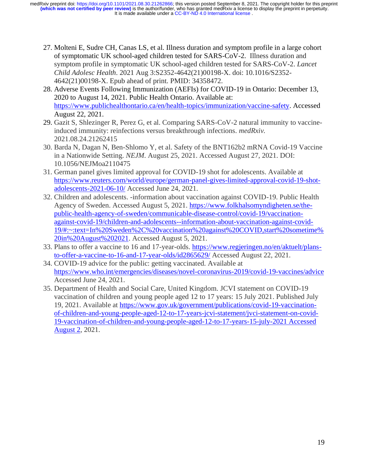It is made available under a CC-BY-ND 4.0 International license. **(which was not certified by peer review)** is the author/funder, who has granted medRxiv a license to display the preprint in perpetuity. medRxiv preprint doi: [https://doi.org/10.1101/2021.08.30.21262866;](https://doi.org/10.1101/2021.08.30.21262866) this version posted September 8, 2021. The copyright holder for this preprint

- 27. Molteni E, Sudre CH, Canas LS, et al. Illness duration and symptom profile in a large cohort of symptomatic UK school-aged children tested for SARS-CoV-2. Illness duration and symptom profile in symptomatic UK school-aged children tested for SARS-CoV-2. *Lancet Child Adolesc Health*. 2021 Aug 3:S2352-4642(21)00198-X. doi: 10.1016/S2352- 4642(21)00198-X. Epub ahead of print. PMID: 34358472.
- 28. Adverse Events Following Immunization (AEFIs) for COVID-19 in Ontario: December 13, 2020 to August 14, 2021. Public Health Ontario. Available at: [https://www.publichealthontario.ca/en/health-topics/immunization/vaccine-safety.](https://www.publichealthontario.ca/en/health-topics/immunization/vaccine-safety) Accessed August 22, 2021.
- 29. Gazit S, Shlezinger R, Perez G, et al. Comparing SARS-CoV-2 natural immunity to vaccineinduced immunity: reinfections versus breakthrough infections. *medRxiv.* 2021.08.24.21262415
- 30. Barda N, Dagan N, Ben-Shlomo Y, et al. Safety of the BNT162b2 mRNA Covid-19 Vaccine in a Nationwide Setting. *NEJM*. August 25, 2021. Accessed August 27, 2021. DOI: 10.1056/NEJMoa2110475
- 31. German panel gives limited approval for COVID-19 shot for adolescents. Available at [https://www.reuters.com/world/europe/german-panel-gives-limited-approval-covid-19-shot](https://www.reuters.com/world/europe/german-panel-gives-limited-approval-covid-19-shot-adolescents-2021-06-10/)[adolescents-2021-06-10/](https://www.reuters.com/world/europe/german-panel-gives-limited-approval-covid-19-shot-adolescents-2021-06-10/) Accessed June 24, 2021.
- 32. Children and adolescents. -information about vaccination against COVID-19. Public Health Agency of Sweden. Accessed August 5, 2021. [https://www.folkhalsomyndigheten.se/the](https://www.folkhalsomyndigheten.se/the-public-health-agency-of-sweden/communicable-disease-control/covid-19/vaccination-against-covid-19/children-and-adolescents--information-about-vaccination-against-covid-19/#:~:text=In%20Sweden%2C%20vaccination%20against%20COVID,start%20sometime%20in%20August%202021)[public-health-agency-of-sweden/communicable-disease-control/covid-19/vaccination](https://www.folkhalsomyndigheten.se/the-public-health-agency-of-sweden/communicable-disease-control/covid-19/vaccination-against-covid-19/children-and-adolescents--information-about-vaccination-against-covid-19/#:~:text=In%20Sweden%2C%20vaccination%20against%20COVID,start%20sometime%20in%20August%202021)[against-covid-19/children-and-adolescents--information-about-vaccination-against-covid-](https://www.folkhalsomyndigheten.se/the-public-health-agency-of-sweden/communicable-disease-control/covid-19/vaccination-against-covid-19/children-and-adolescents--information-about-vaccination-against-covid-19/#:~:text=In%20Sweden%2C%20vaccination%20against%20COVID,start%20sometime%20in%20August%202021)[19/#:~:text=In%20Sweden%2C%20vaccination%20against%20COVID,start%20sometime%](https://www.folkhalsomyndigheten.se/the-public-health-agency-of-sweden/communicable-disease-control/covid-19/vaccination-against-covid-19/children-and-adolescents--information-about-vaccination-against-covid-19/#:~:text=In%20Sweden%2C%20vaccination%20against%20COVID,start%20sometime%20in%20August%202021) [20in%20August%202021.](https://www.folkhalsomyndigheten.se/the-public-health-agency-of-sweden/communicable-disease-control/covid-19/vaccination-against-covid-19/children-and-adolescents--information-about-vaccination-against-covid-19/#:~:text=In%20Sweden%2C%20vaccination%20against%20COVID,start%20sometime%20in%20August%202021) Accessed August 5, 2021.
- 33. Plans to offer a vaccine to 16 and 17-year-olds. [https://www.regjeringen.no/en/aktuelt/plans](https://www.regjeringen.no/en/aktuelt/plans-to-offer-a-vaccine-to-16-and-17-year-olds/id2865629/)[to-offer-a-vaccine-to-16-and-17-year-olds/id2865629/](https://www.regjeringen.no/en/aktuelt/plans-to-offer-a-vaccine-to-16-and-17-year-olds/id2865629/) Accessed August 22, 2021.
- 34. COVID-19 advice for the public: getting vaccinated. Available at <https://www.who.int/emergencies/diseases/novel-coronavirus-2019/covid-19-vaccines/advice> Accessed June 24, 2021.
- 35. Department of Health and Social Care, United Kingdom. JCVI statement on COVID-19 vaccination of children and young people aged 12 to 17 years: 15 July 2021. Published July 19, 2021. Available at [https://www.gov.uk/government/publications/covid-19-vaccination](https://www.gov.uk/government/publications/covid-19-vaccination-of-children-and-young-people-aged-12-to-17-years-jcvi-statement/jvci-statement-on-covid-19-vaccination-of-children-and-young-people-aged-12-to-17-years-15-july-2021%20Accessed%20August%202)[of-children-and-young-people-aged-12-to-17-years-jcvi-statement/jvci-statement-on-covid-](https://www.gov.uk/government/publications/covid-19-vaccination-of-children-and-young-people-aged-12-to-17-years-jcvi-statement/jvci-statement-on-covid-19-vaccination-of-children-and-young-people-aged-12-to-17-years-15-july-2021%20Accessed%20August%202)[19-vaccination-of-children-and-young-people-aged-12-to-17-years-15-july-2021](https://www.gov.uk/government/publications/covid-19-vaccination-of-children-and-young-people-aged-12-to-17-years-jcvi-statement/jvci-statement-on-covid-19-vaccination-of-children-and-young-people-aged-12-to-17-years-15-july-2021%20Accessed%20August%202) Accessed [August 2,](https://www.gov.uk/government/publications/covid-19-vaccination-of-children-and-young-people-aged-12-to-17-years-jcvi-statement/jvci-statement-on-covid-19-vaccination-of-children-and-young-people-aged-12-to-17-years-15-july-2021%20Accessed%20August%202) 2021.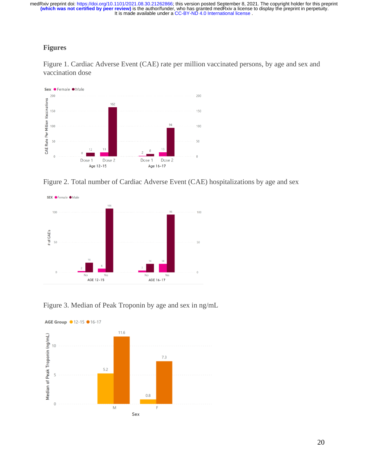# **Figures**

Figure 1. Cardiac Adverse Event (CAE) rate per million vaccinated persons, by age and sex and vaccination dose



Figure 2. Total number of Cardiac Adverse Event (CAE) hospitalizations by age and sex



Figure 3. Median of Peak Troponin by age and sex in ng/mL

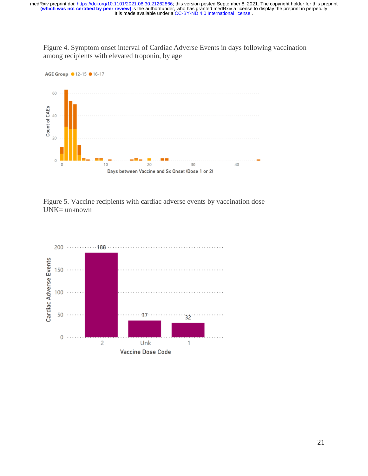Figure 4. Symptom onset interval of Cardiac Adverse Events in days following vaccination among recipients with elevated troponin, by age



Figure 5. Vaccine recipients with cardiac adverse events by vaccination dose UNK= unknown

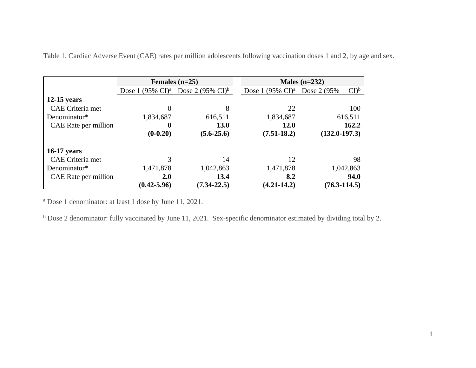|                      |                                       | Females $(n=25)$             | Males $(n=232)$                       |                                            |  |  |
|----------------------|---------------------------------------|------------------------------|---------------------------------------|--------------------------------------------|--|--|
|                      | Dose 1 $(95\% \text{ CI})^{\text{a}}$ | Dose 2 $(95\% \text{ CI})^b$ | Dose 1 $(95\% \text{ CI})^{\text{a}}$ | $\mathrm{Cl}^{\mathrm{b}}$<br>Dose 2 (95%) |  |  |
| $12-15$ years        |                                       |                              |                                       |                                            |  |  |
| CAE Criteria met     | $\theta$                              | 8                            | 22                                    | 100                                        |  |  |
| Denominator*         | 1,834,687                             | 616,511                      | 1,834,687                             | 616,511                                    |  |  |
| CAE Rate per million | 0                                     | 13.0                         | 12.0                                  | 162.2                                      |  |  |
|                      | $(0-0.20)$                            | $(5.6 - 25.6)$               | $(7.51 - 18.2)$                       | $(132.0-197.3)$                            |  |  |
| <b>16-17 years</b>   |                                       |                              |                                       |                                            |  |  |
| CAE Criteria met     |                                       | 14                           | 12                                    | 98                                         |  |  |
| Denominator*         | 1,471,878                             | 1,042,863                    | 1,471,878                             | 1,042,863                                  |  |  |
| CAE Rate per million | <b>2.0</b>                            | 13.4                         | 8.2                                   | 94.0                                       |  |  |
|                      | $(0.42 - 5.96)$                       | $(7.34 - 22.5)$              | $(4.21 - 14.2)$                       | $(76.3 - 114.5)$                           |  |  |

Table 1. Cardiac Adverse Event (CAE) rates per million adolescents following vaccination doses 1 and 2, by age and sex.

<sup>a</sup> Dose 1 denominator: at least 1 dose by June 11, 2021.

<sup>b</sup> Dose 2 denominator: fully vaccinated by June 11, 2021. Sex-specific denominator estimated by dividing total by 2.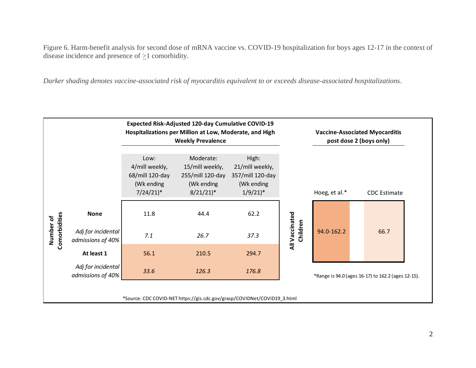Figure 6. Harm-benefit analysis for second dose of mRNA vaccine vs. COVID-19 hospitalization for boys ages 12-17 in the context of disease incidence and presence of  $\geq$ 1 comorbidity.

*Darker shading denotes vaccine-associated risk of myocarditis equivalent to or exceeds disease-associated hospitalizations*.

|                                                                          |                                         | <b>Expected Risk-Adjusted 120-day Cumulative COVID-19</b><br>Hospitalizations per Million at Low, Moderate, and High<br><b>Weekly Prevalence</b> |                                                                                          |                                                                                     |                            | <b>Vaccine-Associated Myocarditis</b><br>post dose 2 (boys only) |                     |  |  |
|--------------------------------------------------------------------------|-----------------------------------------|--------------------------------------------------------------------------------------------------------------------------------------------------|------------------------------------------------------------------------------------------|-------------------------------------------------------------------------------------|----------------------------|------------------------------------------------------------------|---------------------|--|--|
|                                                                          |                                         | Low:<br>4/mill weekly,<br>68/mill 120-day<br>(Wk ending<br>$7/24/21$ <sup>*</sup>                                                                | Moderate:<br>15/mill weekly,<br>255/mill 120-day<br>(Wk ending<br>$8/21/21$ <sup>*</sup> | High:<br>21/mill weekly,<br>357/mill 120-day<br>(Wk ending<br>$1/9/21$ <sup>*</sup> |                            | Hoeg, et al.*                                                    | <b>CDC</b> Estimate |  |  |
|                                                                          | <b>None</b>                             | 11.8                                                                                                                                             | 44.4                                                                                     | 62.2                                                                                | All Vaccinated<br>Children | 94.0-162.2                                                       |                     |  |  |
| Comorbidities<br>Number of                                               | Adj for incidental<br>admissions of 40% | 7.1                                                                                                                                              | 26.7                                                                                     | 37.3                                                                                |                            |                                                                  | 66.7                |  |  |
|                                                                          | At least 1                              | 56.1                                                                                                                                             | 210.5                                                                                    | 294.7                                                                               |                            |                                                                  |                     |  |  |
|                                                                          | Adj for incidental<br>admissions of 40% | 33.6                                                                                                                                             | 126.3                                                                                    | 176.8                                                                               |                            | *Range is 94.0 (ages 16-17) to 162.2 (ages 12-15).               |                     |  |  |
| *Source: CDC COVID-NET https://gis.cdc.gov/grasp/COVIDNet/COVID19_3.html |                                         |                                                                                                                                                  |                                                                                          |                                                                                     |                            |                                                                  |                     |  |  |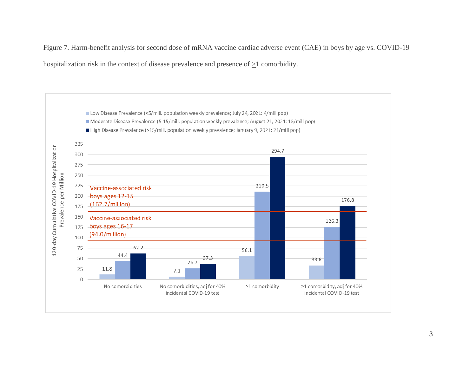Figure 7. Harm-benefit analysis for second dose of mRNA vaccine cardiac adverse event (CAE) in boys by age vs. COVID-19 hospitalization risk in the context of disease prevalence and presence of  $\geq 1$  comorbidity.

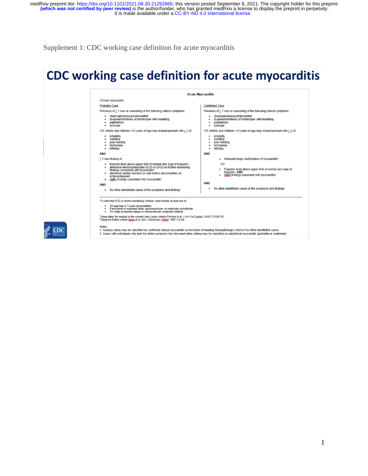It is made available under a CC-BY-ND 4.0 International license. **(which was not certified by peer review)** is the author/funder, who has granted medRxiv a license to display the preprint in perpetuity. medRxiv preprint doi: [https://doi.org/10.1101/2021.08.30.21262866;](https://doi.org/10.1101/2021.08.30.21262866) this version posted September 8, 2021. The copyright holder for this preprint

Supplement 1: CDC working case definition for acute myocarditis

 $\approx$  CDC

# CDC working case definition for acute myocarditis